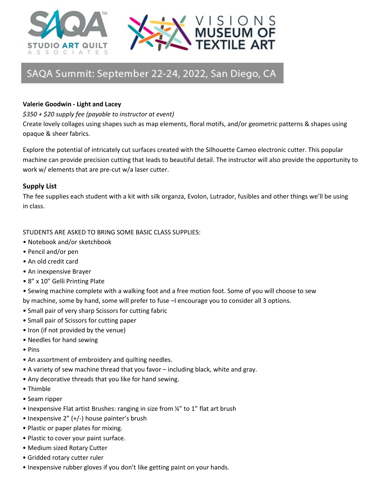



## SAQA Summit: September 22-24, 2022, San Diego, CA

## **Valerie Goodwin - Light and Lacey**

*\$350 + \$20 supply fee (payable to instructor at event)*

Create lovely collages using shapes such as map elements, floral motifs, and/or geometric patterns & shapes using opaque & sheer fabrics.

Explore the potential of intricately cut surfaces created with the Silhouette Cameo electronic cutter. This popular machine can provide precision cutting that leads to beautiful detail. The instructor will also provide the opportunity to work w/ elements that are pre-cut w/a laser cutter.

## **Supply List**

The fee supplies each student with a kit with silk organza, Evolon, Lutrador, fusibles and other things we'll be using in class.

## STUDENTS ARE ASKED TO BRING SOME BASIC CLASS SUPPLIES:

- Notebook and/or sketchbook
- Pencil and/or pen
- An old credit card
- An inexpensive Brayer
- 8" x 10" Gelli Printing Plate

• Sewing machine complete with a walking foot and a free motion foot. Some of you will choose to sew by machine, some by hand, some will prefer to fuse –I encourage you to consider all 3 options.

- Small pair of very sharp Scissors for cutting fabric
- Small pair of Scissors for cutting paper
- Iron (if not provided by the venue)
- Needles for hand sewing
- Pins
- An assortment of embroidery and quilting needles.
- A variety of sew machine thread that you favor including black, white and gray.
- Any decorative threads that you like for hand sewing.
- Thimble
- Seam ripper
- Inexpensive Flat artist Brushes: ranging in size from ¼" to 1" flat art brush
- Inexpensive 2" (+/-) house painter's brush
- Plastic or paper plates for mixing.
- Plastic to cover your paint surface.
- Medium sized Rotary Cutter
- Gridded rotary cutter ruler
- Inexpensive rubber gloves if you don't like getting paint on your hands.